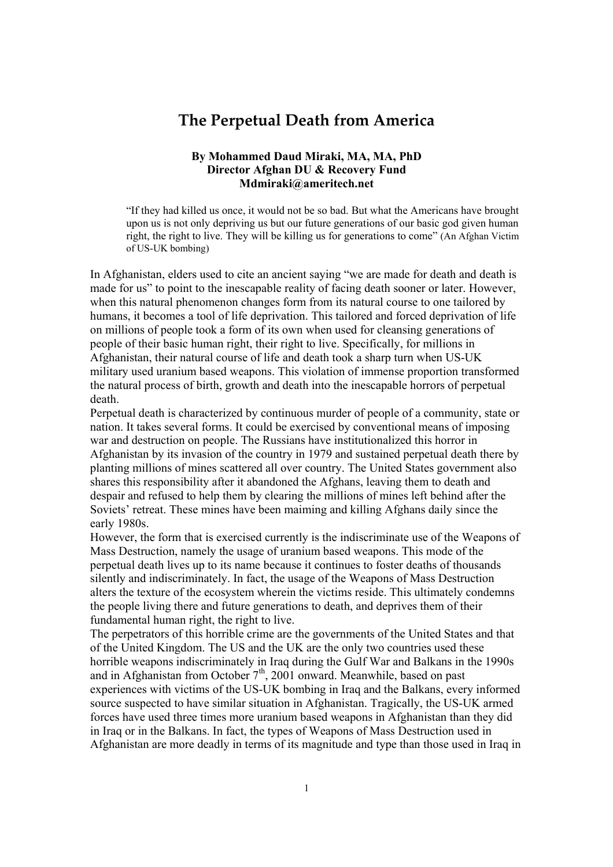## **The Perpetual Death from America**

## **By Mohammed Daud Miraki, MA, MA, PhD Director Afghan DU & Recovery Fund Mdmiraki@ameritech.net**

If they had killed us once, it would not be so bad. But what the Americans have brought upon us is not only depriving us but our future generations of our basic god given human right, the right to live. They will be killing us for generations to come" (An Afghan Victim of US-UK bombing)

In Afghanistan, elders used to cite an ancient saying "we are made for death and death is made for us" to point to the inescapable reality of facing death sooner or later. However, when this natural phenomenon changes form from its natural course to one tailored by humans, it becomes a tool of life deprivation. This tailored and forced deprivation of life on millions of people took a form of its own when used for cleansing generations of people of their basic human right, their right to live. Specifically, for millions in Afghanistan, their natural course of life and death took a sharp turn when US-UK military used uranium based weapons. This violation of immense proportion transformed the natural process of birth, growth and death into the inescapable horrors of perpetual death.

Perpetual death is characterized by continuous murder of people of a community, state or nation. It takes several forms. It could be exercised by conventional means of imposing war and destruction on people. The Russians have institutionalized this horror in Afghanistan by its invasion of the country in 1979 and sustained perpetual death there by planting millions of mines scattered all over country. The United States government also shares this responsibility after it abandoned the Afghans, leaving them to death and despair and refused to help them by clearing the millions of mines left behind after the Soviets' retreat. These mines have been maiming and killing Afghans daily since the early 1980s.

However, the form that is exercised currently is the indiscriminate use of the Weapons of Mass Destruction, namely the usage of uranium based weapons. This mode of the perpetual death lives up to its name because it continues to foster deaths of thousands silently and indiscriminately. In fact, the usage of the Weapons of Mass Destruction alters the texture of the ecosystem wherein the victims reside. This ultimately condemns the people living there and future generations to death, and deprives them of their fundamental human right, the right to live.

The perpetrators of this horrible crime are the governments of the United States and that of the United Kingdom. The US and the UK are the only two countries used these horrible weapons indiscriminately in Iraq during the Gulf War and Balkans in the 1990s and in Afghanistan from October 7<sup>th</sup>, 2001 onward. Meanwhile, based on past experiences with victims of the US-UK bombing in Iraq and the Balkans, every informed source suspected to have similar situation in Afghanistan. Tragically, the US-UK armed forces have used three times more uranium based weapons in Afghanistan than they did in Iraq or in the Balkans. In fact, the types of Weapons of Mass Destruction used in Afghanistan are more deadly in terms of its magnitude and type than those used in Iraq in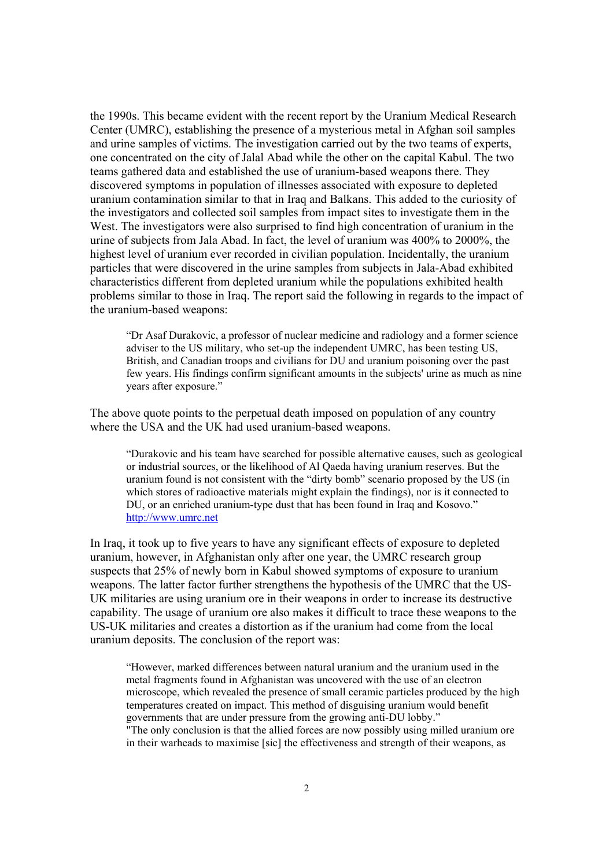the 1990s. This became evident with the recent report by the Uranium Medical Research Center (UMRC), establishing the presence of a mysterious metal in Afghan soil samples and urine samples of victims. The investigation carried out by the two teams of experts, one concentrated on the city of Jalal Abad while the other on the capital Kabul. The two teams gathered data and established the use of uranium-based weapons there. They discovered symptoms in population of illnesses associated with exposure to depleted uranium contamination similar to that in Iraq and Balkans. This added to the curiosity of the investigators and collected soil samples from impact sites to investigate them in the West. The investigators were also surprised to find high concentration of uranium in the urine of subjects from Jala Abad. In fact, the level of uranium was 400% to 2000%, the highest level of uranium ever recorded in civilian population. Incidentally, the uranium particles that were discovered in the urine samples from subjects in Jala-Abad exhibited characteristics different from depleted uranium while the populations exhibited health problems similar to those in Iraq. The report said the following in regards to the impact of the uranium-based weapons:

ìDr Asaf Durakovic, a professor of nuclear medicine and radiology and a former science adviser to the US military, who set-up the independent UMRC, has been testing US, British, and Canadian troops and civilians for DU and uranium poisoning over the past few years. His findings confirm significant amounts in the subjects' urine as much as nine years after exposure."

The above quote points to the perpetual death imposed on population of any country where the USA and the UK had used uranium-based weapons.

ìDurakovic and his team have searched for possible alternative causes, such as geological or industrial sources, or the likelihood of Al Qaeda having uranium reserves. But the uranium found is not consistent with the "dirty bomb" scenario proposed by the US (in which stores of radioactive materials might explain the findings), nor is it connected to DU, or an enriched uranium-type dust that has been found in Iraq and Kosovo." http://www.umrc.net

In Iraq, it took up to five years to have any significant effects of exposure to depleted uranium, however, in Afghanistan only after one year, the UMRC research group suspects that 25% of newly born in Kabul showed symptoms of exposure to uranium weapons. The latter factor further strengthens the hypothesis of the UMRC that the US-UK militaries are using uranium ore in their weapons in order to increase its destructive capability. The usage of uranium ore also makes it difficult to trace these weapons to the US-UK militaries and creates a distortion as if the uranium had come from the local uranium deposits. The conclusion of the report was:

ìHowever, marked differences between natural uranium and the uranium used in the metal fragments found in Afghanistan was uncovered with the use of an electron microscope, which revealed the presence of small ceramic particles produced by the high temperatures created on impact. This method of disguising uranium would benefit governments that are under pressure from the growing anti-DU lobby." "The only conclusion is that the allied forces are now possibly using milled uranium ore in their warheads to maximise [sic] the effectiveness and strength of their weapons, as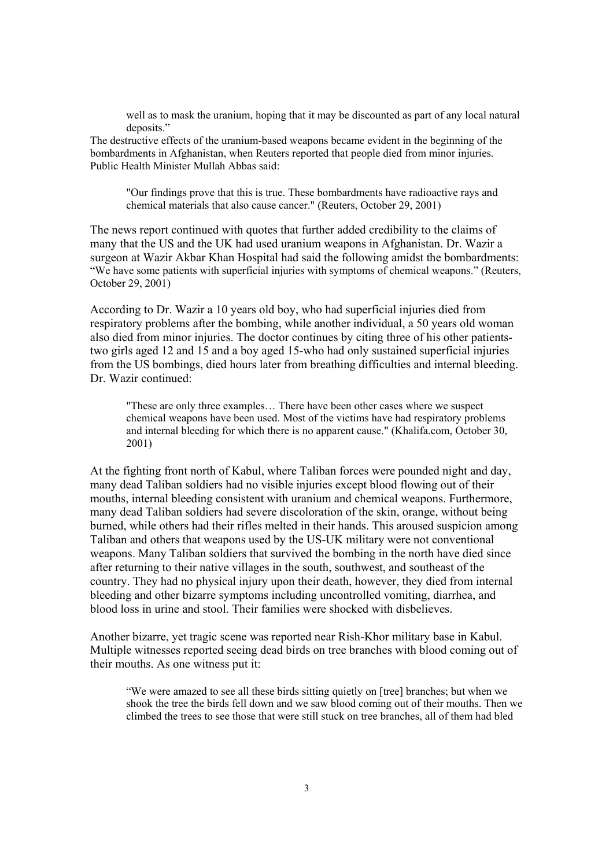well as to mask the uranium, hoping that it may be discounted as part of any local natural deposits."

The destructive effects of the uranium-based weapons became evident in the beginning of the bombardments in Afghanistan, when Reuters reported that people died from minor injuries. Public Health Minister Mullah Abbas said:

"Our findings prove that this is true. These bombardments have radioactive rays and chemical materials that also cause cancer." (Reuters, October 29, 2001)

The news report continued with quotes that further added credibility to the claims of many that the US and the UK had used uranium weapons in Afghanistan. Dr. Wazir a surgeon at Wazir Akbar Khan Hospital had said the following amidst the bombardments: "We have some patients with superficial injuries with symptoms of chemical weapons." (Reuters, October 29, 2001)

According to Dr. Wazir a 10 years old boy, who had superficial injuries died from respiratory problems after the bombing, while another individual, a 50 years old woman also died from minor injuries. The doctor continues by citing three of his other patientstwo girls aged 12 and 15 and a boy aged 15-who had only sustained superficial injuries from the US bombings, died hours later from breathing difficulties and internal bleeding. Dr. Wazir continued:

"These are only three examples... There have been other cases where we suspect chemical weapons have been used. Most of the victims have had respiratory problems and internal bleeding for which there is no apparent cause." (Khalifa.com, October 30, 2001)

At the fighting front north of Kabul, where Taliban forces were pounded night and day, many dead Taliban soldiers had no visible injuries except blood flowing out of their mouths, internal bleeding consistent with uranium and chemical weapons. Furthermore, many dead Taliban soldiers had severe discoloration of the skin, orange, without being burned, while others had their rifles melted in their hands. This aroused suspicion among Taliban and others that weapons used by the US-UK military were not conventional weapons. Many Taliban soldiers that survived the bombing in the north have died since after returning to their native villages in the south, southwest, and southeast of the country. They had no physical injury upon their death, however, they died from internal bleeding and other bizarre symptoms including uncontrolled vomiting, diarrhea, and blood loss in urine and stool. Their families were shocked with disbelieves.

Another bizarre, yet tragic scene was reported near Rish-Khor military base in Kabul. Multiple witnesses reported seeing dead birds on tree branches with blood coming out of their mouths. As one witness put it:

ìWe were amazed to see all these birds sitting quietly on [tree] branches; but when we shook the tree the birds fell down and we saw blood coming out of their mouths. Then we climbed the trees to see those that were still stuck on tree branches, all of them had bled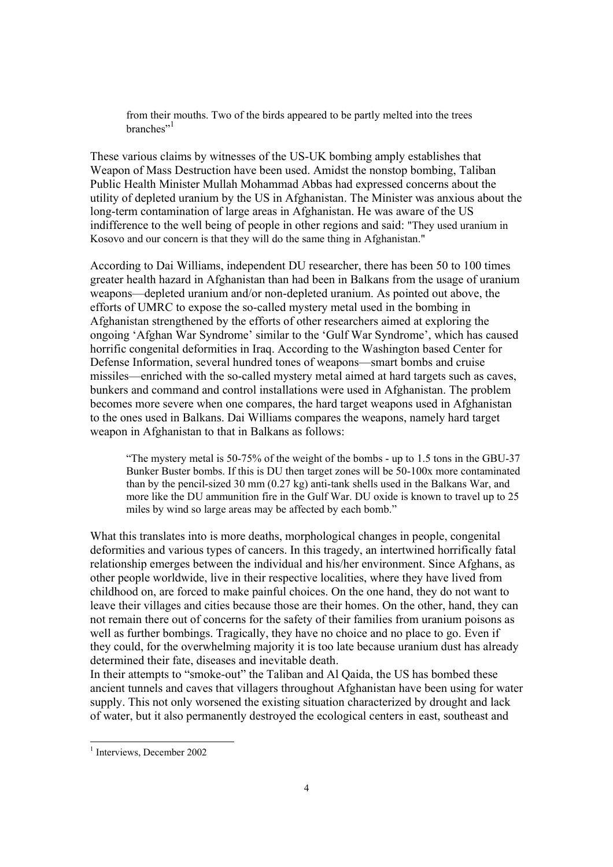from their mouths. Two of the birds appeared to be partly melted into the trees  $branches$ <sup>21</sup>

These various claims by witnesses of the US-UK bombing amply establishes that Weapon of Mass Destruction have been used. Amidst the nonstop bombing, Taliban Public Health Minister Mullah Mohammad Abbas had expressed concerns about the utility of depleted uranium by the US in Afghanistan. The Minister was anxious about the long-term contamination of large areas in Afghanistan. He was aware of the US indifference to the well being of people in other regions and said: "They used uranium in Kosovo and our concern is that they will do the same thing in Afghanistan."

According to Dai Williams, independent DU researcher, there has been 50 to 100 times greater health hazard in Afghanistan than had been in Balkans from the usage of uranium weapons—depleted uranium and/or non-depleted uranium. As pointed out above, the efforts of UMRC to expose the so-called mystery metal used in the bombing in Afghanistan strengthened by the efforts of other researchers aimed at exploring the ongoing 'Afghan War Syndrome' similar to the 'Gulf War Syndrome', which has caused horrific congenital deformities in Iraq. According to the Washington based Center for Defense Information, several hundred tones of weapons—smart bombs and cruise missiles—enriched with the so-called mystery metal aimed at hard targets such as caves, bunkers and command and control installations were used in Afghanistan. The problem becomes more severe when one compares, the hard target weapons used in Afghanistan to the ones used in Balkans. Dai Williams compares the weapons, namely hard target weapon in Afghanistan to that in Balkans as follows:

"The mystery metal is  $50-75\%$  of the weight of the bombs - up to 1.5 tons in the GBU-37 Bunker Buster bombs. If this is DU then target zones will be 50-100x more contaminated than by the pencil-sized 30 mm (0.27 kg) anti-tank shells used in the Balkans War, and more like the DU ammunition fire in the Gulf War. DU oxide is known to travel up to 25 miles by wind so large areas may be affected by each bomb."

What this translates into is more deaths, morphological changes in people, congenital deformities and various types of cancers. In this tragedy, an intertwined horrifically fatal relationship emerges between the individual and his/her environment. Since Afghans, as other people worldwide, live in their respective localities, where they have lived from childhood on, are forced to make painful choices. On the one hand, they do not want to leave their villages and cities because those are their homes. On the other, hand, they can not remain there out of concerns for the safety of their families from uranium poisons as well as further bombings. Tragically, they have no choice and no place to go. Even if they could, for the overwhelming majority it is too late because uranium dust has already determined their fate, diseases and inevitable death.

In their attempts to "smoke-out" the Taliban and Al Qaida, the US has bombed these ancient tunnels and caves that villagers throughout Afghanistan have been using for water supply. This not only worsened the existing situation characterized by drought and lack of water, but it also permanently destroyed the ecological centers in east, southeast and

 $\overline{a}$ 

<sup>&</sup>lt;sup>1</sup> Interviews, December 2002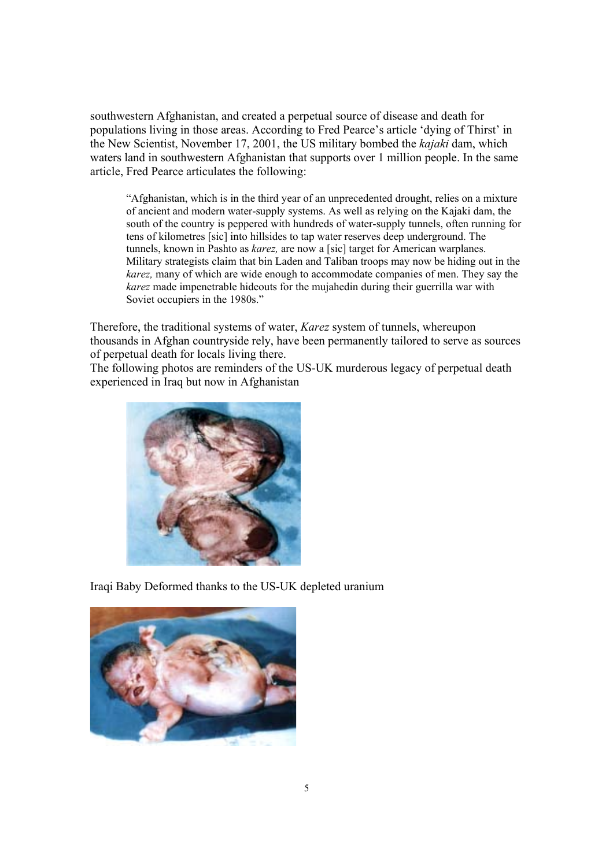southwestern Afghanistan, and created a perpetual source of disease and death for populations living in those areas. According to Fred Pearce's article 'dying of Thirst' in the New Scientist, November 17, 2001, the US military bombed the *kajaki* dam, which waters land in southwestern Afghanistan that supports over 1 million people. In the same article, Fred Pearce articulates the following:

ìAfghanistan, which is in the third year of an unprecedented drought, relies on a mixture of ancient and modern water-supply systems. As well as relying on the Kajaki dam, the south of the country is peppered with hundreds of water-supply tunnels, often running for tens of kilometres [sic] into hillsides to tap water reserves deep underground. The tunnels, known in Pashto as *karez,* are now a [sic] target for American warplanes. Military strategists claim that bin Laden and Taliban troops may now be hiding out in the *karez,* many of which are wide enough to accommodate companies of men. They say the *karez* made impenetrable hideouts for the mujahedin during their guerrilla war with Soviet occupiers in the 1980s."

Therefore, the traditional systems of water, *Karez* system of tunnels, whereupon thousands in Afghan countryside rely, have been permanently tailored to serve as sources of perpetual death for locals living there.

The following photos are reminders of the US-UK murderous legacy of perpetual death experienced in Iraq but now in Afghanistan



Iraqi Baby Deformed thanks to the US-UK depleted uranium